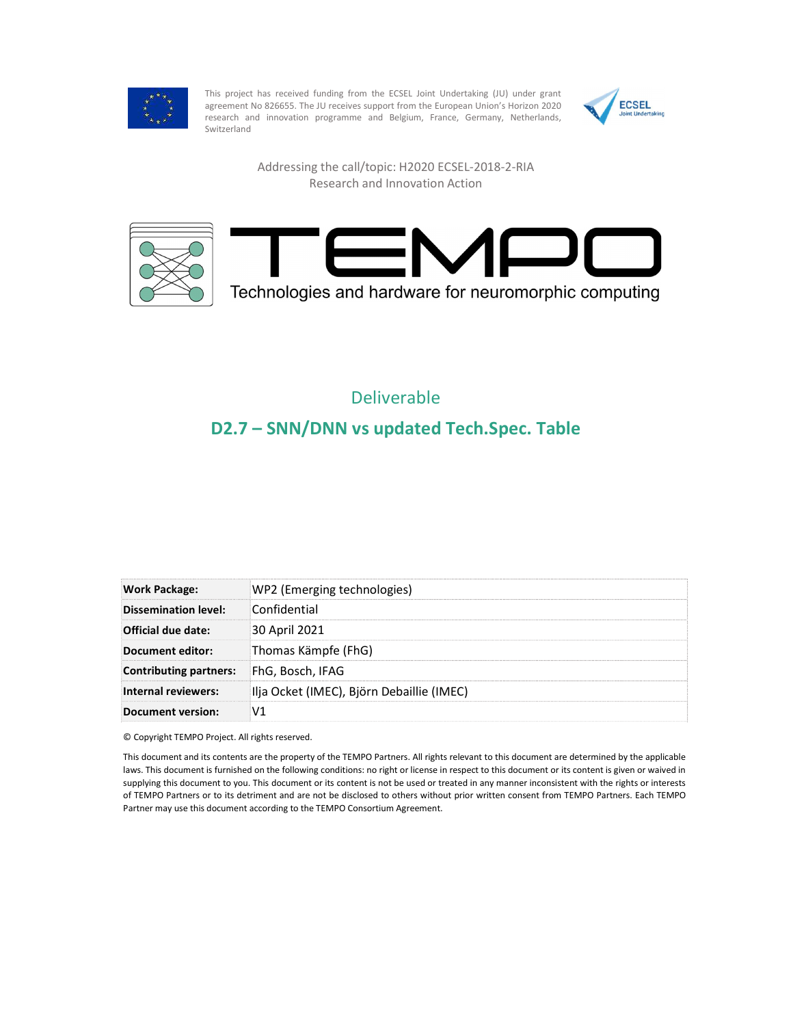

This project has received funding from the ECSEL Joint Undertaking (JU) under grant<br>agreement No 826655. The JU receives support from the European Union's Horizon 2020 agreement No 826655. The JU receives support from the European Union's Horizon 2020 research and innovation programme and Belgium, France, Germany, Netherlands, Switzerland



Addressing the call/topic: H2020 ECSEL-2018-2-RIA Research and Innovation Action





## Deliverable

## D2.7 – SNN/DNN vs updated Tech.Spec. Table

| Work Package:                 | WP2 (Emerging technologies)               |
|-------------------------------|-------------------------------------------|
| Dissemination level:          | Confidential                              |
| Official due date:            | 30 April 2021                             |
| Document editor:              | Thomas Kämpfe (FhG)                       |
| <b>Contributing partners:</b> | FhG. Bosch. IFAG                          |
| Internal reviewers:           | Ilja Ocket (IMEC), Björn Debaillie (IMEC) |
| <b>Document version:</b>      | V1                                        |

© Copyright TEMPO Project. All rights reserved.

This document and its contents are the property of the TEMPO Partners. All rights relevant to this document are determined by the applicable laws. This document is furnished on the following conditions: no right or license in respect to this document or its content is given or waived in supplying this document to you. This document or its content is not be used or treated in any manner inconsistent with the rights or interests of TEMPO Partners or to its detriment and are not be disclosed to others without prior written consent from TEMPO Partners. Each TEMPO Partner may use this document according to the TEMPO Consortium Agreement.